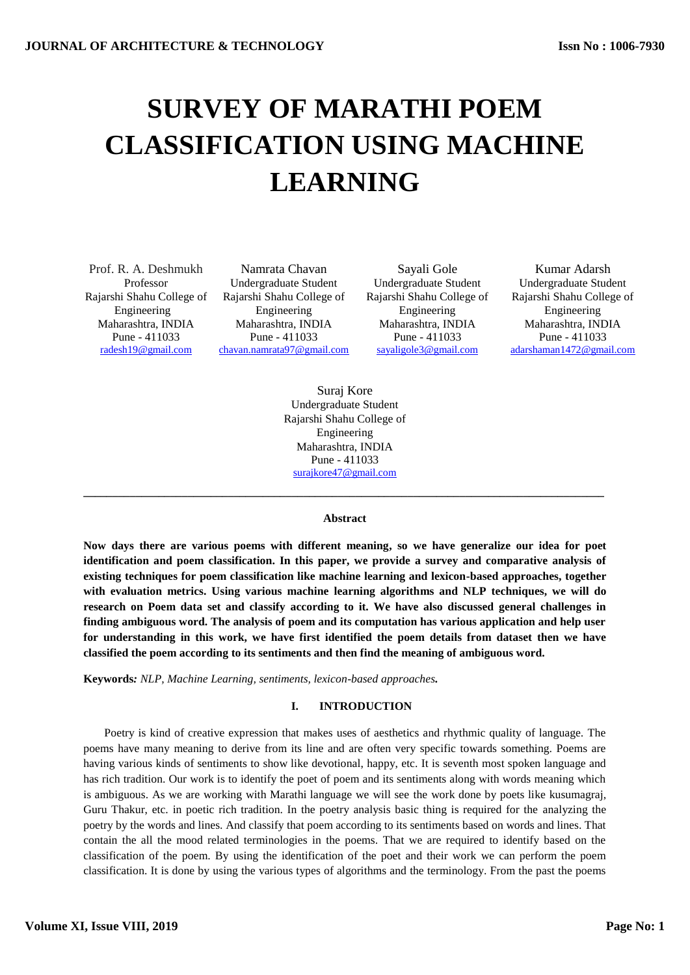# **SURVEY OF MARATHI POEM CLASSIFICATION USING MACHINE LEARNING**

Maharashtra, INDIA Pune - 411033

Prof. R. A. Deshmukh Namrata Chavan Sayali Gole Kumar Adarsh Professor Undergraduate Student Undergraduate Student Undergraduate Student Rajarshi Shahu College of Rajarshi Shahu College of Rajarshi Shahu College of Rajarshi Shahu College of Engineering Engineering Engineering Engineering Maharashtra, INDIA Pune - 411033

Maharashtra, INDIA Pune - 411033

Maharashtra, INDIA Pune - 411033 [radesh19@gmail.com](mailto:radesh19@gmail.com) chavan.namrata97@gmail.com sayaligole3@gmail.com adarshaman1472@gmail.com

> Suraj Kore Undergraduate Student Rajarshi Shahu College of Engineering Maharashtra, INDIA Pune - 411033 surajkore47@gmail.com

#### **Abstract**

**\_\_\_\_\_\_\_\_\_\_\_\_\_\_\_\_\_\_\_\_\_\_\_\_\_\_\_\_\_\_\_\_\_\_\_\_\_\_\_\_\_\_\_\_\_\_\_\_\_\_\_\_\_\_\_\_\_\_\_\_\_\_\_\_\_\_\_\_\_\_\_\_\_\_\_\_\_\_\_\_\_\_\_\_\_\_\_\_\_\_**

**Now days there are various poems with different meaning, so we have generalize our idea for poet identification and poem classification. In this paper, we provide a survey and comparative analysis of existing techniques for poem classification like machine learning and lexicon-based approaches, together with evaluation metrics. Using various machine learning algorithms and NLP techniques, we will do research on Poem data set and classify according to it. We have also discussed general challenges in finding ambiguous word. The analysis of poem and its computation has various application and help user for understanding in this work, we have first identified the poem details from dataset then we have classified the poem according to its sentiments and then find the meaning of ambiguous word.**

**Keywords***: NLP, Machine Learning, sentiments, lexicon-based approaches.*

## **I. INTRODUCTION**

Poetry is kind of creative expression that makes uses of aesthetics and rhythmic quality of language. The poems have many meaning to derive from its line and are often very specific towards something. Poems are having various kinds of sentiments to show like devotional, happy, etc. It is seventh most spoken language and has rich tradition. Our work is to identify the poet of poem and its sentiments along with words meaning which is ambiguous. As we are working with Marathi language we will see the work done by poets like kusumagraj, Guru Thakur, etc. in poetic rich tradition. In the poetry analysis basic thing is required for the analyzing the poetry by the words and lines. And classify that poem according to its sentiments based on words and lines. That contain the all the mood related terminologies in the poems. That we are required to identify based on the classification of the poem. By using the identification of the poet and their work we can perform the poem classification. It is done by using the various types of algorithms and the terminology. From the past the poems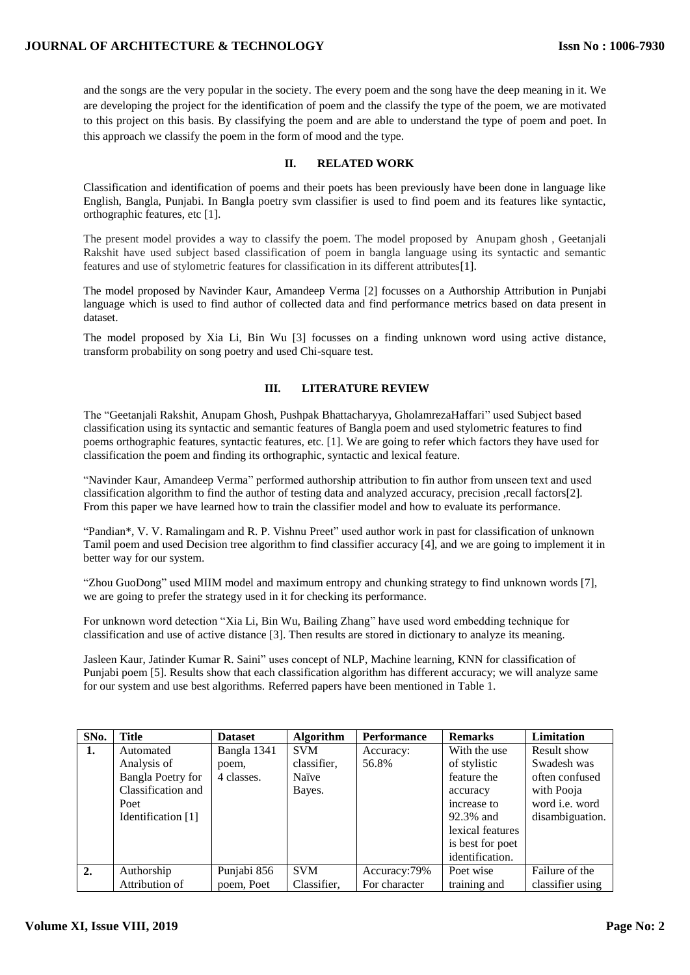## **JOURNAL OF ARCHITECTURE & TECHNOLOGY**

and the songs are the very popular in the society. The every poem and the song have the deep meaning in it. We are developing the project for the identification of poem and the classify the type of the poem, we are motivated to this project on this basis. By classifying the poem and are able to understand the type of poem and poet. In this approach we classify the poem in the form of mood and the type.

## **II. RELATED WORK**

Classification and identification of poems and their poets has been previously have been done in language like English, Bangla, Punjabi. In Bangla poetry svm classifier is used to find poem and its features like syntactic, orthographic features, etc [1].

The present model provides a way to classify the poem. The model proposed by Anupam ghosh , Geetanjali Rakshit have used subject based classification of poem in bangla language using its syntactic and semantic features and use of stylometric features for classification in its different attributes[1].

The model proposed by Navinder Kaur, Amandeep Verma [2] focusses on a Authorship Attribution in Punjabi language which is used to find author of collected data and find performance metrics based on data present in dataset.

The model proposed by Xia Li, Bin Wu [3] focusses on a finding unknown word using active distance, transform probability on song poetry and used Chi-square test.

## **III. LITERATURE REVIEW**

The "Geetanjali Rakshit, Anupam Ghosh, Pushpak Bhattacharyya, GholamrezaHaffari" used Subject based classification using its syntactic and semantic features of Bangla poem and used stylometric features to find poems orthographic features, syntactic features, etc. [1]. We are going to refer which factors they have used for classification the poem and finding its orthographic, syntactic and lexical feature.

"Navinder Kaur, Amandeep Verma" performed authorship attribution to fin author from unseen text and used classification algorithm to find the author of testing data and analyzed accuracy, precision ,recall factors[2]. From this paper we have learned how to train the classifier model and how to evaluate its performance.

"Pandian\*, V. V. Ramalingam and R. P. Vishnu Preet" used author work in past for classification of unknown Tamil poem and used Decision tree algorithm to find classifier accuracy [4], and we are going to implement it in better way for our system.

"Zhou GuoDong" used MIIM model and maximum entropy and chunking strategy to find unknown words [7], we are going to prefer the strategy used in it for checking its performance.

For unknown word detection "Xia Li, Bin Wu, Bailing Zhang" have used word embedding technique for classification and use of active distance [3]. Then results are stored in dictionary to analyze its meaning.

Jasleen Kaur, Jatinder Kumar R. Saini" uses concept of NLP, Machine learning, KNN for classification of Punjabi poem [5]. Results show that each classification algorithm has different accuracy; we will analyze same for our system and use best algorithms. Referred papers have been mentioned in Table 1.

| SNo. | <b>Title</b>             | <b>Dataset</b> | <b>Algorithm</b> | Performance   | <b>Remarks</b>   | Limitation            |
|------|--------------------------|----------------|------------------|---------------|------------------|-----------------------|
| 1.   | Automated                | Bangla 1341    | <b>SVM</b>       | Accuracy:     | With the use     | <b>Result show</b>    |
|      | Analysis of              | poem,          | classifier.      | 56.8%         | of stylistic     | Swadesh was           |
|      | <b>Bangla Poetry for</b> | 4 classes.     | Naïve            |               | feature the      | often confused        |
|      | Classification and       |                | Bayes.           |               | accuracy         | with Pooja            |
|      | Poet                     |                |                  |               | increase to      | word <i>i.e.</i> word |
|      | Identification [1]       |                |                  |               | 92.3% and        | disambiguation.       |
|      |                          |                |                  |               | lexical features |                       |
|      |                          |                |                  |               | is best for poet |                       |
|      |                          |                |                  |               | identification.  |                       |
| 2.   | Authorship               | Punjabi 856    | <b>SVM</b>       | Accuracy: 79% | Poet wise        | Failure of the        |
|      | Attribution of           | poem, Poet     | Classifier.      | For character | training and     | classifier using      |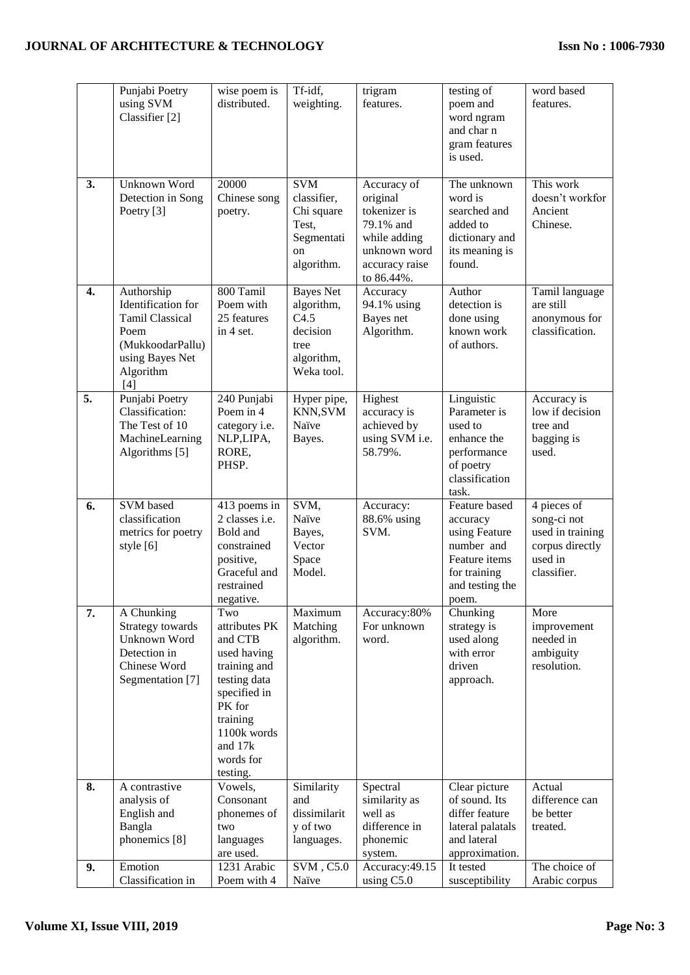# **JOURNAL OF ARCHITECTURE & TECHNOLOGY**

|                  | Punjabi Poetry<br>using SVM<br>Classifier [2]                                                                                 | wise poem is<br>distributed.                                                                                                                                            | Tf-idf,<br>weighting.                                                                  | trigram<br>features.                                                                                                 | testing of<br>poem and<br>word ngram<br>and char n<br>gram features<br>is used.                                       | word based<br>features.                                                                     |
|------------------|-------------------------------------------------------------------------------------------------------------------------------|-------------------------------------------------------------------------------------------------------------------------------------------------------------------------|----------------------------------------------------------------------------------------|----------------------------------------------------------------------------------------------------------------------|-----------------------------------------------------------------------------------------------------------------------|---------------------------------------------------------------------------------------------|
| 3.               | Unknown Word<br>Detection in Song<br>Poetry [3]                                                                               | 20000<br>Chinese song<br>poetry.                                                                                                                                        | <b>SVM</b><br>classifier,<br>Chi square<br>Test,<br>Segmentati<br>on<br>algorithm.     | Accuracy of<br>original<br>tokenizer is<br>79.1% and<br>while adding<br>unknown word<br>accuracy raise<br>to 86.44%. | The unknown<br>word is<br>searched and<br>added to<br>dictionary and<br>its meaning is<br>found.                      | This work<br>doesn't workfor<br>Ancient<br>Chinese.                                         |
| $\overline{4}$ . | Authorship<br>Identification for<br><b>Tamil Classical</b><br>Poem<br>(MukkoodarPallu)<br>using Bayes Net<br>Algorithm<br>[4] | 800 Tamil<br>Poem with<br>25 features<br>in 4 set.                                                                                                                      | <b>Bayes Net</b><br>algorithm,<br>C4.5<br>decision<br>tree<br>algorithm,<br>Weka tool. | Accuracy<br>94.1% using<br>Bayes net<br>Algorithm.                                                                   | Author<br>detection is<br>done using<br>known work<br>of authors.                                                     | Tamil language<br>are still<br>anonymous for<br>classification.                             |
| 5.               | Punjabi Poetry<br>Classification:<br>The Test of 10<br>MachineLearning<br>Algorithms [5]                                      | 240 Punjabi<br>Poem in 4<br>category i.e.<br>NLP,LIPA,<br>RORE,<br>PHSP.                                                                                                | Hyper pipe,<br>KNN, SVM<br>Naïve<br>Bayes.                                             | Highest<br>accuracy is<br>achieved by<br>using SVM i.e.<br>58.79%.                                                   | Linguistic<br>Parameter is<br>used to<br>enhance the<br>performance<br>of poetry<br>classification<br>task.           | Accuracy is<br>low if decision<br>tree and<br>bagging is<br>used.                           |
| 6.               | SVM based<br>classification<br>metrics for poetry<br>style [6]                                                                | 413 poems in<br>2 classes i.e.<br>Bold and<br>constrained<br>positive,<br>Graceful and<br>restrained<br>negative.                                                       | SVM,<br>Naïve<br>Bayes,<br>Vector<br>Space<br>Model.                                   | Accuracy:<br>88.6% using<br>SVM.                                                                                     | Feature based<br>accuracy<br>using Feature<br>number and<br>Feature items<br>for training<br>and testing the<br>poem. | 4 pieces of<br>song-ci not<br>used in training<br>corpus directly<br>used in<br>classifier. |
| 7.               | A Chunking<br>Strategy towards<br>Unknown Word<br>Detection in<br>Chinese Word<br>Segmentation [7]                            | Two<br>attributes PK<br>and CTB<br>used having<br>training and<br>testing data<br>specified in<br>PK for<br>training<br>1100k words<br>and 17k<br>words for<br>testing. | Maximum<br>Matching<br>algorithm.                                                      | Accuracy:80%<br>For unknown<br>word.                                                                                 | Chunking<br>strategy is<br>used along<br>with error<br>driven<br>approach.                                            | More<br>improvement<br>needed in<br>ambiguity<br>resolution.                                |
| 8.               | A contrastive<br>analysis of<br>English and<br>Bangla<br>phonemics [8]                                                        | Vowels,<br>Consonant<br>phonemes of<br>two<br>languages<br>are used.                                                                                                    | Similarity<br>and<br>dissimilarit<br>y of two<br>languages.                            | Spectral<br>similarity as<br>well as<br>difference in<br>phonemic                                                    | Clear picture<br>of sound. Its<br>differ feature<br>lateral palatals<br>and lateral<br>approximation.                 | Actual<br>difference can<br>be better<br>treated.                                           |
| 9.               | Emotion<br>Classification in                                                                                                  | 1231 Arabic<br>Poem with 4                                                                                                                                              | $\overline{\text{SVM}}$ , C5.0<br>Naïve                                                | system.<br>Accuracy: 49.15<br>using C5.0                                                                             | It tested<br>susceptibility                                                                                           | The choice of<br>Arabic corpus                                                              |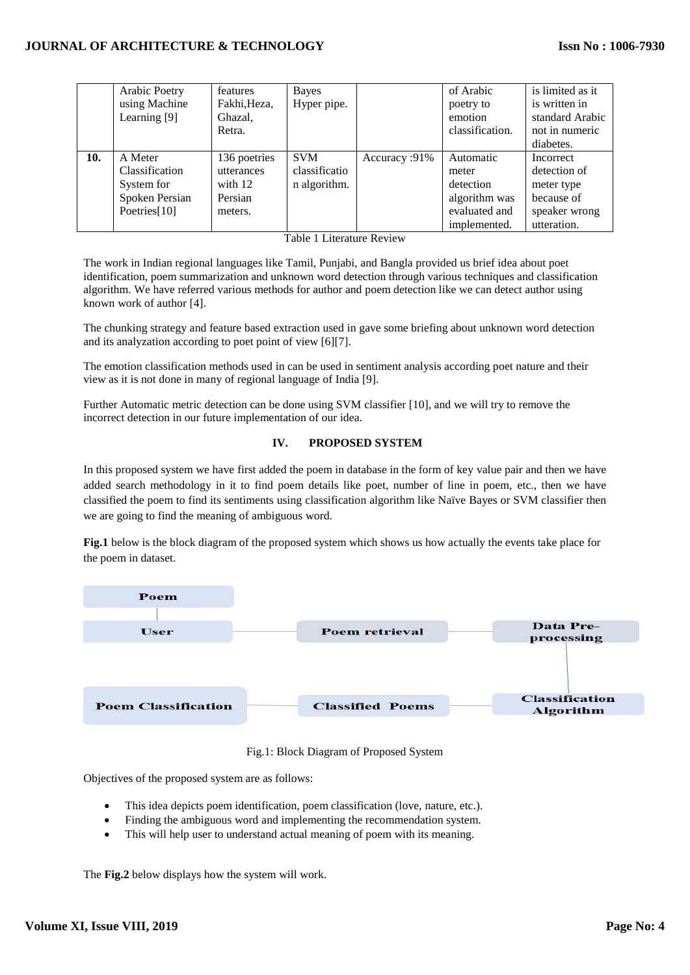## **JOURNAL OF ARCHITECTURE & TECHNOLOGY**

|     | Arabic Poetry  | features     | Bayes         |               | of Arabic       | is limited as it |
|-----|----------------|--------------|---------------|---------------|-----------------|------------------|
|     | using Machine  | Fakhi, Heza, | Hyper pipe.   |               | poetry to       | is written in    |
|     | Learning [9]   | Ghazal,      |               |               | emotion         | standard Arabic  |
|     |                | Retra.       |               |               | classification. | not in numeric   |
|     |                |              |               |               |                 | diabetes.        |
| 10. | A Meter        | 136 poetries | <b>SVM</b>    | Accuracy: 91% | Automatic       | Incorrect        |
|     | Classification | utterances   | classificatio |               | meter           | detection of     |
|     | System for     | with $12$    | n algorithm.  |               | detection       | meter type       |
|     | Spoken Persian | Persian      |               |               | algorithm was   | because of       |
|     | Poetries[10]   | meters.      |               |               | evaluated and   | speaker wrong    |
|     |                |              |               |               | implemented.    | utteration.      |

Table 1 Literature Review

The work in Indian regional languages like Tamil, Punjabi, and Bangla provided us brief idea about poet identification, poem summarization and unknown word detection through various techniques and classification algorithm. We have referred various methods for author and poem detection like we can detect author using known work of author [4].

The chunking strategy and feature based extraction used in gave some briefing about unknown word detection and its analyzation according to poet point of view [6][7].

The emotion classification methods used in can be used in sentiment analysis according poet nature and their view as it is not done in many of regional language of India [9].

Further Automatic metric detection can be done using SVM classifier [10], and we will try to remove the incorrect detection in our future implementation of our idea.

## **IV. PROPOSED SYSTEM**

In this proposed system we have first added the poem in database in the form of key value pair and then we have added search methodology in it to find poem details like poet, number of line in poem, etc., then we have classified the poem to find its sentiments using classification algorithm like Naïve Bayes or SVM classifier then we are going to find the meaning of ambiguous word.

**Fig.1** below is the block diagram of the proposed system which shows us how actually the events take place for the poem in dataset.



Fig.1: Block Diagram of Proposed System

Objectives of the proposed system are as follows:

- This idea depicts poem identification, poem classification (love, nature, etc.).
- Finding the ambiguous word and implementing the recommendation system.
- This will help user to understand actual meaning of poem with its meaning.

The **Fig.2** below displays how the system will work.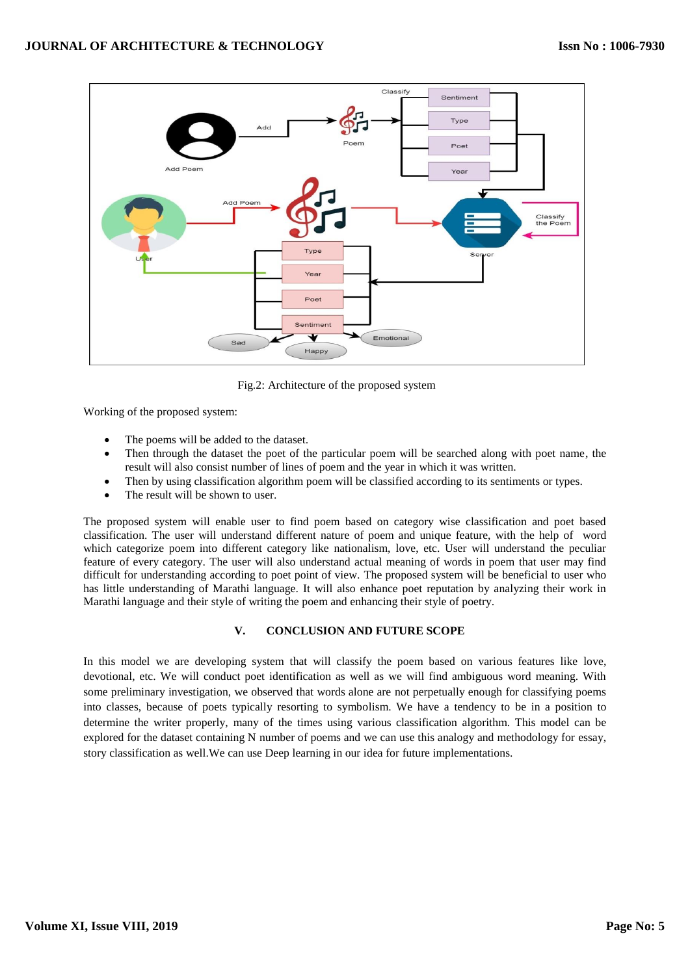

Fig.2: Architecture of the proposed system

Working of the proposed system:

- The poems will be added to the dataset.
- Then through the dataset the poet of the particular poem will be searched along with poet name, the result will also consist number of lines of poem and the year in which it was written.
- Then by using classification algorithm poem will be classified according to its sentiments or types.
- The result will be shown to user.

The proposed system will enable user to find poem based on category wise classification and poet based classification. The user will understand different nature of poem and unique feature, with the help of word which categorize poem into different category like nationalism, love, etc. User will understand the peculiar feature of every category. The user will also understand actual meaning of words in poem that user may find difficult for understanding according to poet point of view. The proposed system will be beneficial to user who has little understanding of Marathi language. It will also enhance poet reputation by analyzing their work in Marathi language and their style of writing the poem and enhancing their style of poetry.

## **V. CONCLUSION AND FUTURE SCOPE**

In this model we are developing system that will classify the poem based on various features like love, devotional, etc. We will conduct poet identification as well as we will find ambiguous word meaning. With some preliminary investigation, we observed that words alone are not perpetually enough for classifying poems into classes, because of poets typically resorting to symbolism. We have a tendency to be in a position to determine the writer properly, many of the times using various classification algorithm. This model can be explored for the dataset containing N number of poems and we can use this analogy and methodology for essay, story classification as well.We can use Deep learning in our idea for future implementations.